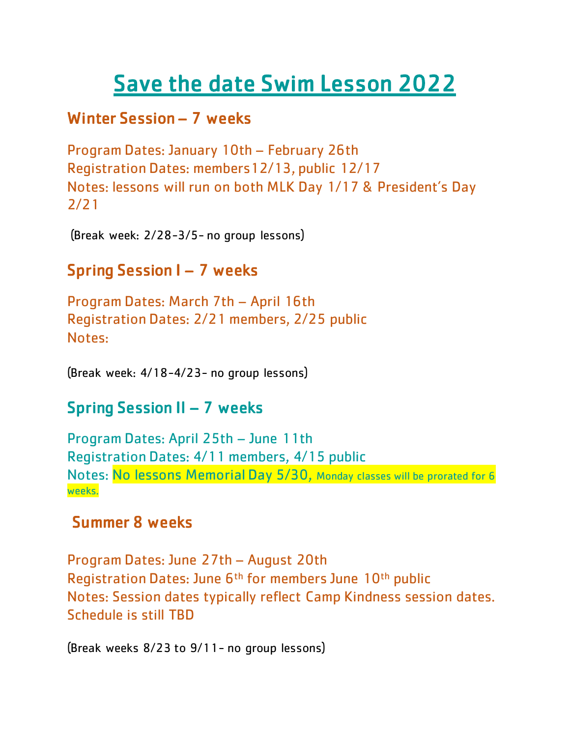# Save the date Swim Lesson 2022

### Winter Session – 7 weeks

Program Dates: January 10th – February 26th Registration Dates: members12/13, public 12/17 Notes: lessons will run on both MLK Day 1/17 & President's Day 2/21

(Break week: 2/28-3/5- no group lessons)

#### Spring Session I – 7 weeks Ξ

Program Dates: March 7th – April 16th Registration Dates: 2/21 members, 2/25 public Notes:

(Break week: 4/18-4/23- no group lessons)

# Spring Session II – 7 weeks

Program Dates: April 25th – June 11th Registration Dates: 4/11 members, 4/15 public Notes: No lessons Memorial Day 5/30, Monday classes will be prorated for 6 weeks.

# Summer 8 weeks

Program Dates: June 27th – August 20th Registration Dates: June 6<sup>th</sup> for members June 10<sup>th</sup> public Notes: Session dates typically reflect Camp Kindness session dates. Schedule is still TBD

(Break weeks 8/23 to 9/11- no group lessons)